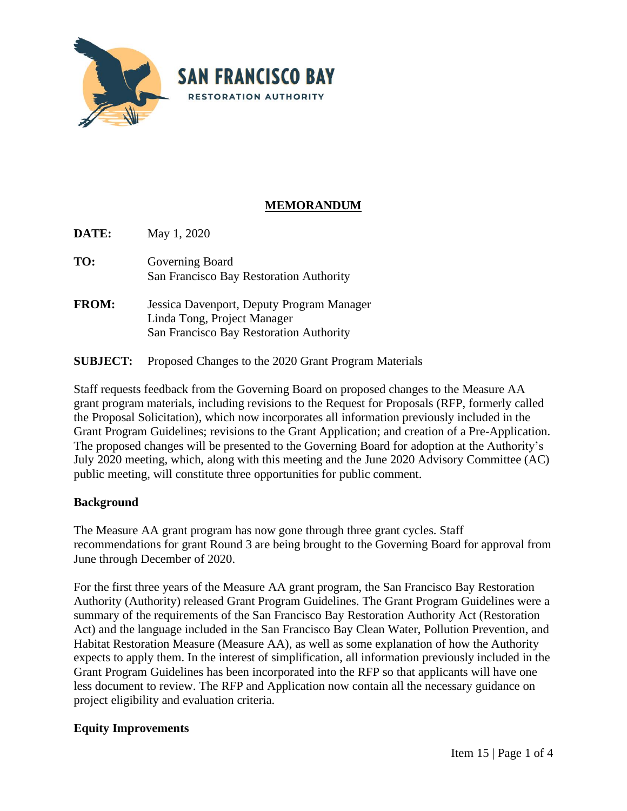

# **MEMORANDUM**

**DATE:** May 1, 2020 **TO:** Governing Board San Francisco Bay Restoration Authority **FROM:** Jessica Davenport, Deputy Program Manager

- Linda Tong, Project Manager San Francisco Bay Restoration Authority
- **SUBJECT:** Proposed Changes to the 2020 Grant Program Materials

Staff requests feedback from the Governing Board on proposed changes to the Measure AA grant program materials, including revisions to the Request for Proposals (RFP, formerly called the Proposal Solicitation), which now incorporates all information previously included in the Grant Program Guidelines; revisions to the Grant Application; and creation of a Pre-Application. The proposed changes will be presented to the Governing Board for adoption at the Authority's July 2020 meeting, which, along with this meeting and the June 2020 Advisory Committee (AC) public meeting, will constitute three opportunities for public comment.

## **Background**

The Measure AA grant program has now gone through three grant cycles. Staff recommendations for grant Round 3 are being brought to the Governing Board for approval from June through December of 2020.

For the first three years of the Measure AA grant program, the San Francisco Bay Restoration Authority (Authority) released Grant Program Guidelines. The Grant Program Guidelines were a summary of the requirements of the San Francisco Bay Restoration Authority Act (Restoration Act) and the language included in the San Francisco Bay Clean Water, Pollution Prevention, and Habitat Restoration Measure (Measure AA), as well as some explanation of how the Authority expects to apply them. In the interest of simplification, all information previously included in the Grant Program Guidelines has been incorporated into the RFP so that applicants will have one less document to review. The RFP and Application now contain all the necessary guidance on project eligibility and evaluation criteria.

## **Equity Improvements**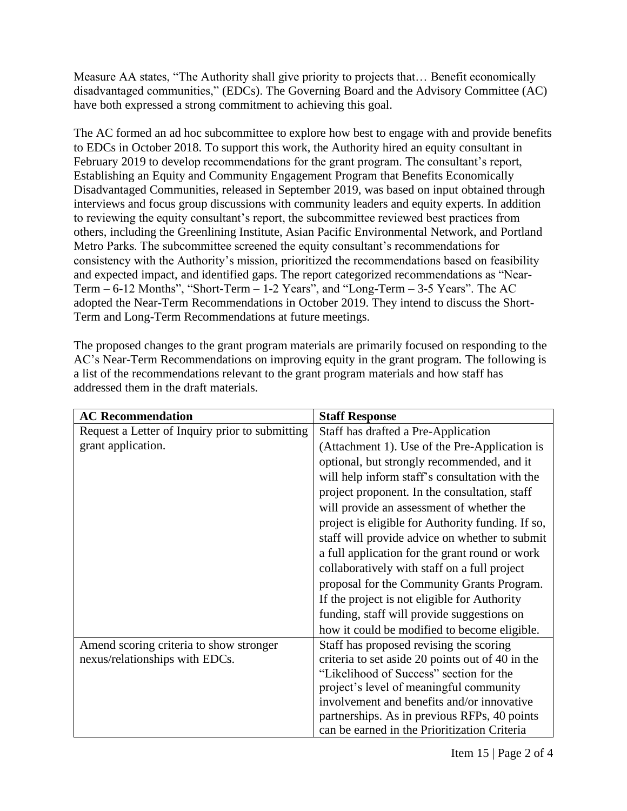Measure AA states, "The Authority shall give priority to projects that… Benefit economically disadvantaged communities," (EDCs). The Governing Board and the Advisory Committee (AC) have both expressed a strong commitment to achieving this goal.

The AC formed an ad hoc subcommittee to explore how best to engage with and provide benefits to EDCs in October 2018. To support this work, the Authority hired an equity consultant in February 2019 to develop recommendations for the grant program. The consultant's report, Establishing an Equity and Community Engagement Program that Benefits Economically Disadvantaged Communities, released in September 2019, was based on input obtained through interviews and focus group discussions with community leaders and equity experts. In addition to reviewing the equity consultant's report, the subcommittee reviewed best practices from others, including the Greenlining Institute, Asian Pacific Environmental Network, and Portland Metro Parks. The subcommittee screened the equity consultant's recommendations for consistency with the Authority's mission, prioritized the recommendations based on feasibility and expected impact, and identified gaps. The report categorized recommendations as "Near-Term  $-6$ -12 Months", "Short-Term  $-1$ -2 Years", and "Long-Term  $-3$ -5 Years". The AC adopted the Near-Term Recommendations in October 2019. They intend to discuss the Short-Term and Long-Term Recommendations at future meetings.

The proposed changes to the grant program materials are primarily focused on responding to the AC's Near-Term Recommendations on improving equity in the grant program. The following is a list of the recommendations relevant to the grant program materials and how staff has addressed them in the draft materials.

| <b>AC Recommendation</b>                        | <b>Staff Response</b>                             |
|-------------------------------------------------|---------------------------------------------------|
| Request a Letter of Inquiry prior to submitting | Staff has drafted a Pre-Application               |
| grant application.                              | (Attachment 1). Use of the Pre-Application is     |
|                                                 | optional, but strongly recommended, and it        |
|                                                 | will help inform staff's consultation with the    |
|                                                 | project proponent. In the consultation, staff     |
|                                                 | will provide an assessment of whether the         |
|                                                 | project is eligible for Authority funding. If so, |
|                                                 | staff will provide advice on whether to submit    |
|                                                 | a full application for the grant round or work    |
|                                                 | collaboratively with staff on a full project      |
|                                                 | proposal for the Community Grants Program.        |
|                                                 | If the project is not eligible for Authority      |
|                                                 | funding, staff will provide suggestions on        |
|                                                 | how it could be modified to become eligible.      |
| Amend scoring criteria to show stronger         | Staff has proposed revising the scoring           |
| nexus/relationships with EDCs.                  | criteria to set aside 20 points out of 40 in the  |
|                                                 | "Likelihood of Success" section for the           |
|                                                 | project's level of meaningful community           |
|                                                 | involvement and benefits and/or innovative        |
|                                                 | partnerships. As in previous RFPs, 40 points      |
|                                                 | can be earned in the Prioritization Criteria      |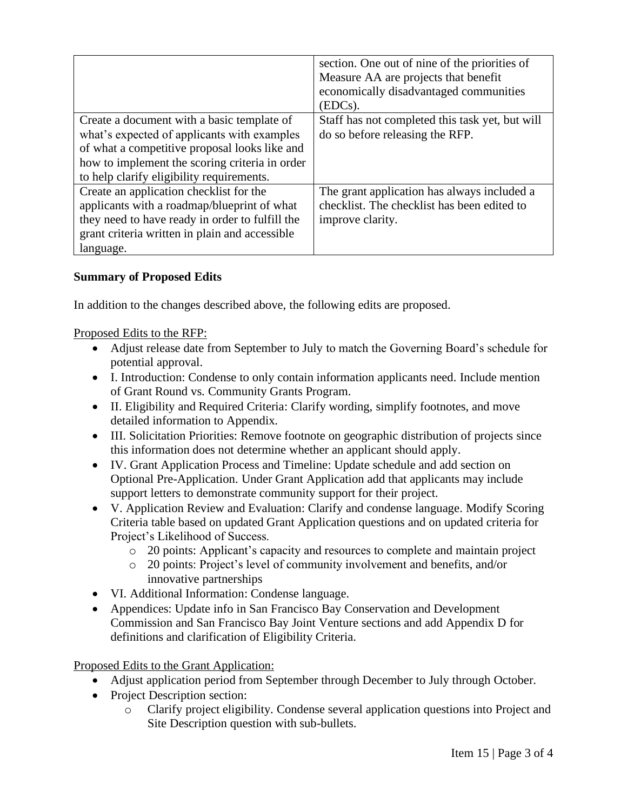|                                                 | section. One out of nine of the priorities of<br>Measure AA are projects that benefit<br>economically disadvantaged communities<br>(EDCs). |
|-------------------------------------------------|--------------------------------------------------------------------------------------------------------------------------------------------|
| Create a document with a basic template of      | Staff has not completed this task yet, but will                                                                                            |
| what's expected of applicants with examples     | do so before releasing the RFP.                                                                                                            |
| of what a competitive proposal looks like and   |                                                                                                                                            |
| how to implement the scoring criteria in order  |                                                                                                                                            |
| to help clarify eligibility requirements.       |                                                                                                                                            |
| Create an application checklist for the         | The grant application has always included a                                                                                                |
| applicants with a roadmap/blueprint of what     | checklist. The checklist has been edited to                                                                                                |
| they need to have ready in order to fulfill the | improve clarity.                                                                                                                           |
| grant criteria written in plain and accessible  |                                                                                                                                            |
| language.                                       |                                                                                                                                            |

## **Summary of Proposed Edits**

In addition to the changes described above, the following edits are proposed.

Proposed Edits to the RFP:

- Adjust release date from September to July to match the Governing Board's schedule for potential approval.
- I. Introduction: Condense to only contain information applicants need. Include mention of Grant Round vs. Community Grants Program.
- II. Eligibility and Required Criteria: Clarify wording, simplify footnotes, and move detailed information to Appendix.
- III. Solicitation Priorities: Remove footnote on geographic distribution of projects since this information does not determine whether an applicant should apply.
- IV. Grant Application Process and Timeline: Update schedule and add section on Optional Pre-Application. Under Grant Application add that applicants may include support letters to demonstrate community support for their project.
- V. Application Review and Evaluation: Clarify and condense language. Modify Scoring Criteria table based on updated Grant Application questions and on updated criteria for Project's Likelihood of Success.
	- o 20 points: Applicant's capacity and resources to complete and maintain project
	- o 20 points: Project's level of community involvement and benefits, and/or innovative partnerships
- VI. Additional Information: Condense language.
- Appendices: Update info in San Francisco Bay Conservation and Development Commission and San Francisco Bay Joint Venture sections and add Appendix D for definitions and clarification of Eligibility Criteria.

Proposed Edits to the Grant Application:

- Adjust application period from September through December to July through October.
- Project Description section:
	- o Clarify project eligibility. Condense several application questions into Project and Site Description question with sub-bullets.